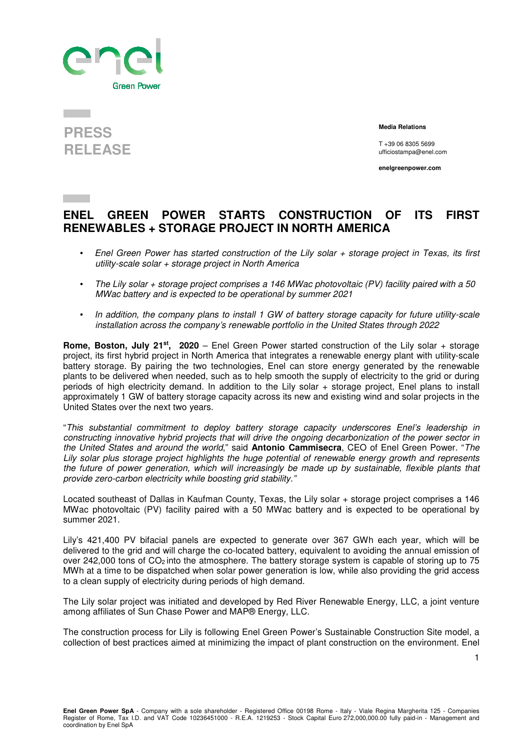

## **PRESS RELEASE**

 **Media Relations** 

T +39 06 8305 5699 ufficiostampa@enel.com

**enelgreenpower.com**

## **ENEL GREEN POWER STARTS CONSTRUCTION OF ITS FIRST RENEWABLES + STORAGE PROJECT IN NORTH AMERICA**

- Enel Green Power has started construction of the Lily solar + storage project in Texas, its first utility-scale solar + storage project in North America
- The Lily solar + storage project comprises a 146 MWac photovoltaic (PV) facility paired with a 50 MWac battery and is expected to be operational by summer 2021
- In addition, the company plans to install 1 GW of battery storage capacity for future utility-scale installation across the company's renewable portfolio in the United States through 2022

**Rome, Boston, July 21st, 2020** – Enel Green Power started construction of the Lily solar + storage project, its first hybrid project in North America that integrates a renewable energy plant with utility-scale battery storage. By pairing the two technologies, Enel can store energy generated by the renewable plants to be delivered when needed, such as to help smooth the supply of electricity to the grid or during periods of high electricity demand. In addition to the Lily solar + storage project, Enel plans to install approximately 1 GW of battery storage capacity across its new and existing wind and solar projects in the United States over the next two years.

"This substantial commitment to deploy battery storage capacity underscores Enel's leadership in constructing innovative hybrid projects that will drive the ongoing decarbonization of the power sector in the United States and around the world," said **Antonio Cammisecra**, CEO of Enel Green Power. "The Lily solar plus storage project highlights the huge potential of renewable energy growth and represents the future of power generation, which will increasingly be made up by sustainable, flexible plants that provide zero-carbon electricity while boosting grid stability."

Located southeast of Dallas in Kaufman County, Texas, the Lily solar + storage project comprises a 146 MWac photovoltaic (PV) facility paired with a 50 MWac battery and is expected to be operational by summer 2021.

Lily's 421,400 PV bifacial panels are expected to generate over 367 GWh each year, which will be delivered to the grid and will charge the co-located battery, equivalent to avoiding the annual emission of over 242,000 tons of CO<sub>2</sub> into the atmosphere. The battery storage system is capable of storing up to 75 MWh at a time to be dispatched when solar power generation is low, while also providing the grid access to a clean supply of electricity during periods of high demand.

The Lily solar project was initiated and developed by Red River Renewable Energy, LLC, a joint venture among affiliates of Sun Chase Power and MAP® Energy, LLC.

The construction process for Lily is following Enel Green Power's Sustainable Construction Site model, a collection of best practices aimed at minimizing the impact of plant construction on the environment. Enel